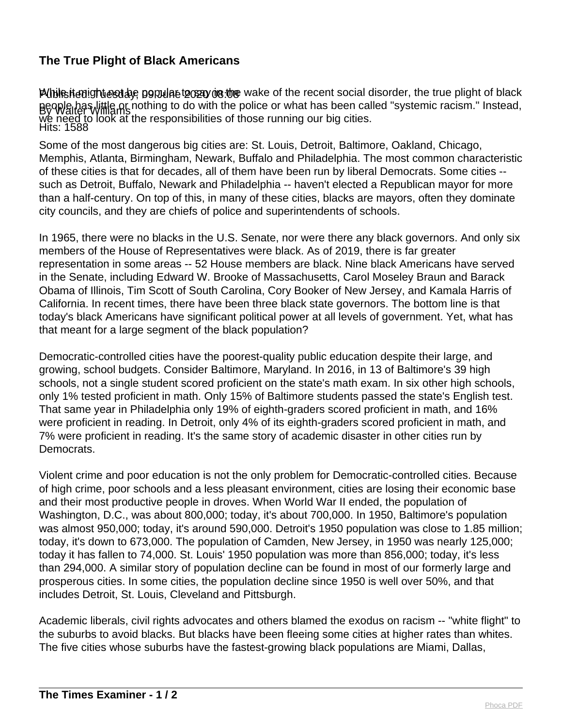## **The True Plight of Black Americans**

PUblished:9Tuesday, 09Rulaet20320/08:06 By Walter Williams Hits: 1588 publist anight est are popular to say in the wake of the recent social disorder, the true plight of black people has little or nothing to do with the police or what has been called "systemic racism." Instead, we need to look at the responsibilities of those running our big cities.

Some of the most dangerous big cities are: St. Louis, Detroit, Baltimore, Oakland, Chicago, Memphis, Atlanta, Birmingham, Newark, Buffalo and Philadelphia. The most common characteristic of these cities is that for decades, all of them have been run by liberal Democrats. Some cities - such as Detroit, Buffalo, Newark and Philadelphia -- haven't elected a Republican mayor for more than a half-century. On top of this, in many of these cities, blacks are mayors, often they dominate city councils, and they are chiefs of police and superintendents of schools.

In 1965, there were no blacks in the U.S. Senate, nor were there any black governors. And only six members of the House of Representatives were black. As of 2019, there is far greater representation in some areas -- 52 House members are black. Nine black Americans have served in the Senate, including Edward W. Brooke of Massachusetts, Carol Moseley Braun and Barack Obama of Illinois, Tim Scott of South Carolina, Cory Booker of New Jersey, and Kamala Harris of California. In recent times, there have been three black state governors. The bottom line is that today's black Americans have significant political power at all levels of government. Yet, what has that meant for a large segment of the black population?

Democratic-controlled cities have the poorest-quality public education despite their large, and growing, school budgets. Consider Baltimore, Maryland. In 2016, in 13 of Baltimore's 39 high schools, not a single student scored proficient on the state's math exam. In six other high schools, only 1% tested proficient in math. Only 15% of Baltimore students passed the state's English test. That same year in Philadelphia only 19% of eighth-graders scored proficient in math, and 16% were proficient in reading. In Detroit, only 4% of its eighth-graders scored proficient in math, and 7% were proficient in reading. It's the same story of academic disaster in other cities run by Democrats.

Violent crime and poor education is not the only problem for Democratic-controlled cities. Because of high crime, poor schools and a less pleasant environment, cities are losing their economic base and their most productive people in droves. When World War II ended, the population of Washington, D.C., was about 800,000; today, it's about 700,000. In 1950, Baltimore's population was almost 950,000; today, it's around 590,000. Detroit's 1950 population was close to 1.85 million; today, it's down to 673,000. The population of Camden, New Jersey, in 1950 was nearly 125,000; today it has fallen to 74,000. St. Louis' 1950 population was more than 856,000; today, it's less than 294,000. A similar story of population decline can be found in most of our formerly large and prosperous cities. In some cities, the population decline since 1950 is well over 50%, and that includes Detroit, St. Louis, Cleveland and Pittsburgh.

Academic liberals, civil rights advocates and others blamed the exodus on racism -- "white flight" to the suburbs to avoid blacks. But blacks have been fleeing some cities at higher rates than whites. The five cities whose suburbs have the fastest-growing black populations are Miami, Dallas,